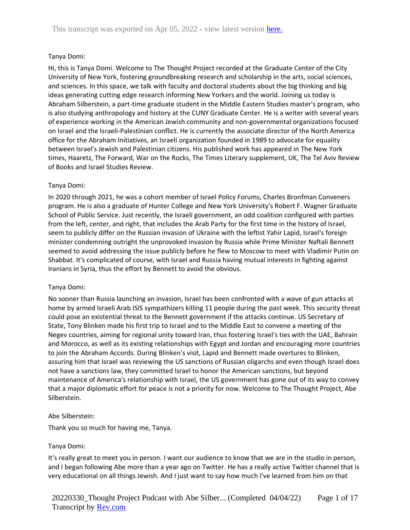## Tanya Domi:

Hi, this is Tanya Domi. Welcome to The Thought Project recorded at the Graduate Center of the City University of New York, fostering groundbreaking research and scholarship in the arts, social sciences, and sciences. In this space, we talk with faculty and doctoral students about the big thinking and big ideas generating cutting edge research informing New Yorkers and the world. Joining us today is Abraham Silberstein, a part-time graduate student in the Middle Eastern Studies master's program, who is also studying anthropology and history at the CUNY Graduate Center. He is a writer with several years of experience working in the American Jewish community and non-governmental organizations focused on Israel and the Israeli-Palestinian conflict. He is currently the associate director of the North America office for the Abraham Initiatives, an Israeli organization founded in 1989 to advocate for equality between Israel's Jewish and Palestinian citizens. His published work has appeared in The New York times, Haaretz, The Forward, War on the Rocks, The Times Literary supplement, UK, The Tel Aviv Review of Books and Israel Studies Review.

### Tanya Domi:

In 2020 through 2021, he was a cohort member of Israel Policy Forums, Charles Bronfman Conveners program. He is also a graduate of Hunter College and New York University's Robert F. Wagner Graduate School of Public Service. Just recently, the Israeli government, an odd coalition configured with parties from the left, center, and right, that includes the Arab Party for the first time in the history of Israel, seem to publicly differ on the Russian invasion of Ukraine with the leftist Yahir Lapid, Israel's foreign minister condemning outright the unprovoked invasion by Russia while Prime Minister Naftali Bennett seemed to avoid addressing the issue publicly before he flew to Moscow to meet with Vladimir Putin on Shabbat. It's complicated of course, with Israel and Russia having mutual interests in fighting against Iranians in Syria, thus the effort by Bennett to avoid the obvious.

#### Tanya Domi:

No sooner than Russia launching an invasion, Israel has been confronted with a wave of gun attacks at home by armed Israeli Arab ISIS sympathizers killing 11 people during the past week. This security threat could pose an existential threat to the Bennett government if the attacks continue. US Secretary of State, Tony Blinken made his first trip to Israel and to the Middle East to convene a meeting of the Negev countries, aiming for regional unity toward Iran, thus fostering Israel's ties with the UAE, Bahrain and Morocco, as well as its existing relationships with Egypt and Jordan and encouraging more countries to join the Abraham Accords. During Blinken's visit, Lapid and Bennett made overtures to Blinken, assuring him that Israel was reviewing the US sanctions of Russian oligarchs and even though Israel does not have a sanctions law, they committed Israel to honor the American sanctions, but beyond maintenance of America's relationship with Israel, the US government has gone out of its way to convey that a major diplomatic effort for peace is not a priority for now. Welcome to The Thought Project, Abe Silberstein.

#### Abe Silberstein:

Thank you so much for having me, Tanya.

## Tanya Domi:

It's really great to meet you in person. I want our audience to know that we are in the studio in person, and I began following Abe more than a year ago on Twitter. He has a really active Twitter channel that is very educational on all things Jewish. And I just want to say how much I've learned from him on that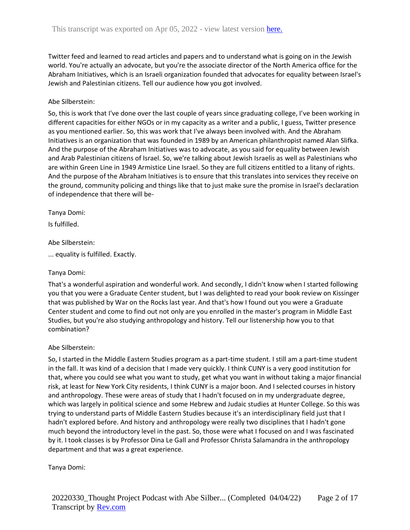Twitter feed and learned to read articles and papers and to understand what is going on in the Jewish world. You're actually an advocate, but you're the associate director of the North America office for the Abraham Initiatives, which is an Israeli organization founded that advocates for equality between Israel's Jewish and Palestinian citizens. Tell our audience how you got involved.

## Abe Silberstein:

So, this is work that I've done over the last couple of years since graduating college, I've been working in different capacities for either NGOs or in my capacity as a writer and a public, I guess, Twitter presence as you mentioned earlier. So, this was work that I've always been involved with. And the Abraham Initiatives is an organization that was founded in 1989 by an American philanthropist named Alan Slifka. And the purpose of the Abraham Initiatives was to advocate, as you said for equality between Jewish and Arab Palestinian citizens of Israel. So, we're talking about Jewish Israelis as well as Palestinians who are within Green Line in 1949 Armistice Line Israel. So they are full citizens entitled to a litany of rights. And the purpose of the Abraham Initiatives is to ensure that this translates into services they receive on the ground, community policing and things like that to just make sure the promise in Israel's declaration of independence that there will be-

### Tanya Domi:

Is fulfilled.

#### Abe Silberstein:

... equality is fulfilled. Exactly.

## Tanya Domi:

That's a wonderful aspiration and wonderful work. And secondly, I didn't know when I started following you that you were a Graduate Center student, but I was delighted to read your book review on Kissinger that was published by War on the Rocks last year. And that's how I found out you were a Graduate Center student and come to find out not only are you enrolled in the master's program in Middle East Studies, but you're also studying anthropology and history. Tell our listenership how you to that combination?

#### Abe Silberstein:

So, I started in the Middle Eastern Studies program as a part-time student. I still am a part-time student in the fall. It was kind of a decision that I made very quickly. I think CUNY is a very good institution for that, where you could see what you want to study, get what you want in without taking a major financial risk, at least for New York City residents, I think CUNY is a major boon. And I selected courses in history and anthropology. These were areas of study that I hadn't focused on in my undergraduate degree, which was largely in political science and some Hebrew and Judaic studies at Hunter College. So this was trying to understand parts of Middle Eastern Studies because it's an interdisciplinary field just that I hadn't explored before. And history and anthropology were really two disciplines that I hadn't gone much beyond the introductory level in the past. So, those were what I focused on and I was fascinated by it. I took classes is by Professor Dina Le Gall and Professor Christa Salamandra in the anthropology department and that was a great experience.

#### Tanya Domi: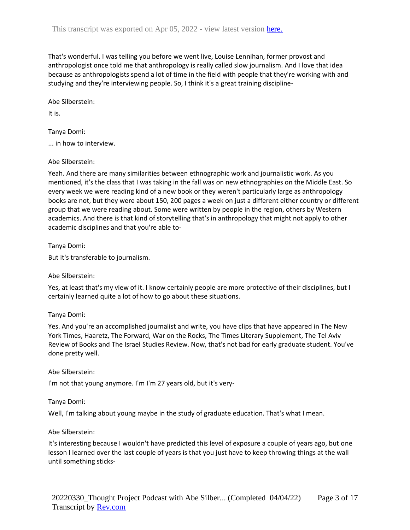That's wonderful. I was telling you before we went live, Louise Lennihan, former provost and anthropologist once told me that anthropology is really called slow journalism. And I love that idea because as anthropologists spend a lot of time in the field with people that they're working with and studying and they're interviewing people. So, I think it's a great training discipline-

Abe Silberstein:

It is.

Tanya Domi:

... in how to interview.

Abe Silberstein:

Yeah. And there are many similarities between ethnographic work and journalistic work. As you mentioned, it's the class that I was taking in the fall was on new ethnographies on the Middle East. So every week we were reading kind of a new book or they weren't particularly large as anthropology books are not, but they were about 150, 200 pages a week on just a different either country or different group that we were reading about. Some were written by people in the region, others by Western academics. And there is that kind of storytelling that's in anthropology that might not apply to other academic disciplines and that you're able to-

Tanya Domi:

But it's transferable to journalism.

Abe Silberstein:

Yes, at least that's my view of it. I know certainly people are more protective of their disciplines, but I certainly learned quite a lot of how to go about these situations.

#### Tanya Domi:

Yes. And you're an accomplished journalist and write, you have clips that have appeared in The New York Times, Haaretz, The Forward, War on the Rocks, The Times Literary Supplement, The Tel Aviv Review of Books and The Israel Studies Review. Now, that's not bad for early graduate student. You've done pretty well.

#### Abe Silberstein:

I'm not that young anymore. I'm I'm 27 years old, but it's very-

#### Tanya Domi:

Well, I'm talking about young maybe in the study of graduate education. That's what I mean.

#### Abe Silberstein:

It's interesting because I wouldn't have predicted this level of exposure a couple of years ago, but one lesson I learned over the last couple of years is that you just have to keep throwing things at the wall until something sticks-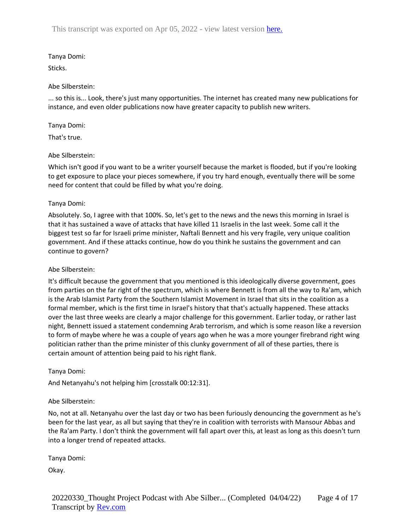# Tanya Domi:

Sticks.

## Abe Silberstein:

... so this is... Look, there's just many opportunities. The internet has created many new publications for instance, and even older publications now have greater capacity to publish new writers.

## Tanya Domi:

That's true.

### Abe Silberstein:

Which isn't good if you want to be a writer yourself because the market is flooded, but if you're looking to get exposure to place your pieces somewhere, if you try hard enough, eventually there will be some need for content that could be filled by what you're doing.

### Tanya Domi:

Absolutely. So, I agree with that 100%. So, let's get to the news and the news this morning in Israel is that it has sustained a wave of attacks that have killed 11 Israelis in the last week. Some call it the biggest test so far for Israeli prime minister, Naftali Bennett and his very fragile, very unique coalition government. And if these attacks continue, how do you think he sustains the government and can continue to govern?

## Abe Silberstein:

It's difficult because the government that you mentioned is this ideologically diverse government, goes from parties on the far right of the spectrum, which is where Bennett is from all the way to Ra'am, which is the Arab Islamist Party from the Southern Islamist Movement in Israel that sits in the coalition as a formal member, which is the first time in Israel's history that that's actually happened. These attacks over the last three weeks are clearly a major challenge for this government. Earlier today, or rather last night, Bennett issued a statement condemning Arab terrorism, and which is some reason like a reversion to form of maybe where he was a couple of years ago when he was a more younger firebrand right wing politician rather than the prime minister of this clunky government of all of these parties, there is certain amount of attention being paid to his right flank.

## Tanya Domi:

And Netanyahu's not helping him [crosstalk 00:12:31].

## Abe Silberstein:

No, not at all. Netanyahu over the last day or two has been furiously denouncing the government as he's been for the last year, as all but saying that they're in coalition with terrorists with Mansour Abbas and the Ra'am Party. I don't think the government will fall apart over this, at least as long as this doesn't turn into a longer trend of repeated attacks.

Tanya Domi:

Okay.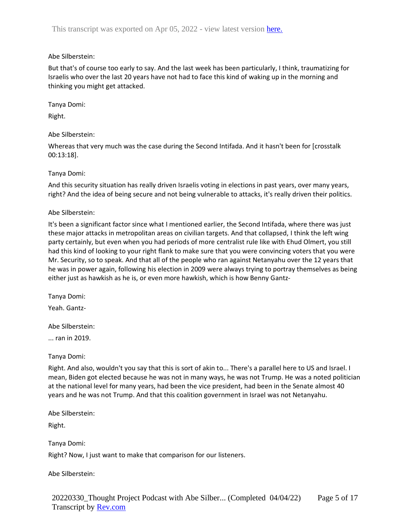### Abe Silberstein:

But that's of course too early to say. And the last week has been particularly, I think, traumatizing for Israelis who over the last 20 years have not had to face this kind of waking up in the morning and thinking you might get attacked.

Tanya Domi:

Right.

### Abe Silberstein:

Whereas that very much was the case during the Second Intifada. And it hasn't been for [crosstalk 00:13:18].

### Tanya Domi:

And this security situation has really driven Israelis voting in elections in past years, over many years, right? And the idea of being secure and not being vulnerable to attacks, it's really driven their politics.

#### Abe Silberstein:

It's been a significant factor since what I mentioned earlier, the Second Intifada, where there was just these major attacks in metropolitan areas on civilian targets. And that collapsed, I think the left wing party certainly, but even when you had periods of more centralist rule like with Ehud Olmert, you still had this kind of looking to your right flank to make sure that you were convincing voters that you were Mr. Security, so to speak. And that all of the people who ran against Netanyahu over the 12 years that he was in power again, following his election in 2009 were always trying to portray themselves as being either just as hawkish as he is, or even more hawkish, which is how Benny Gantz-

Tanya Domi:

Yeah. Gantz-

Abe Silberstein:

... ran in 2019.

## Tanya Domi:

Right. And also, wouldn't you say that this is sort of akin to... There's a parallel here to US and Israel. I mean, Biden got elected because he was not in many ways, he was not Trump. He was a noted politician at the national level for many years, had been the vice president, had been in the Senate almost 40 years and he was not Trump. And that this coalition government in Israel was not Netanyahu.

Abe Silberstein:

Right.

Tanya Domi:

Right? Now, I just want to make that comparison for our listeners.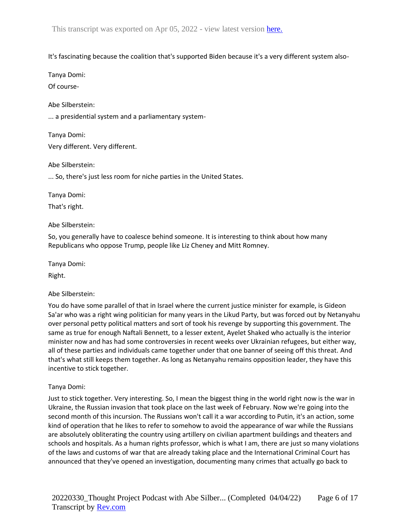### It's fascinating because the coalition that's supported Biden because it's a very different system also-

Tanya Domi:

Of course-

Abe Silberstein:

... a presidential system and a parliamentary system-

Tanya Domi: Very different. Very different.

Abe Silberstein:

... So, there's just less room for niche parties in the United States.

Tanya Domi:

That's right.

Abe Silberstein:

So, you generally have to coalesce behind someone. It is interesting to think about how many Republicans who oppose Trump, people like Liz Cheney and Mitt Romney.

Tanya Domi:

Right.

Abe Silberstein:

You do have some parallel of that in Israel where the current justice minister for example, is Gideon Sa'ar who was a right wing politician for many years in the Likud Party, but was forced out by Netanyahu over personal petty political matters and sort of took his revenge by supporting this government. The same as true for enough Naftali Bennett, to a lesser extent, Ayelet Shaked who actually is the interior minister now and has had some controversies in recent weeks over Ukrainian refugees, but either way, all of these parties and individuals came together under that one banner of seeing off this threat. And that's what still keeps them together. As long as Netanyahu remains opposition leader, they have this incentive to stick together.

## Tanya Domi:

Just to stick together. Very interesting. So, I mean the biggest thing in the world right now is the war in Ukraine, the Russian invasion that took place on the last week of February. Now we're going into the second month of this incursion. The Russians won't call it a war according to Putin, it's an action, some kind of operation that he likes to refer to somehow to avoid the appearance of war while the Russians are absolutely obliterating the country using artillery on civilian apartment buildings and theaters and schools and hospitals. As a human rights professor, which is what I am, there are just so many violations of the laws and customs of war that are already taking place and the International Criminal Court has announced that they've opened an investigation, documenting many crimes that actually go back to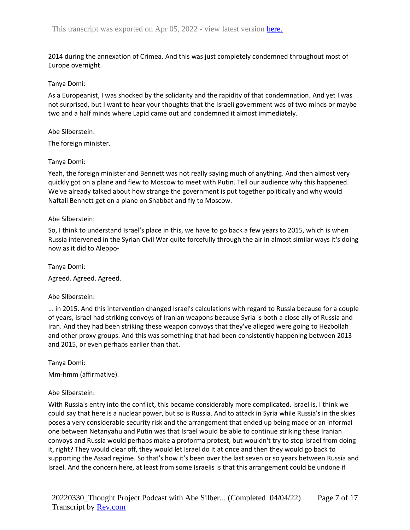2014 during the annexation of Crimea. And this was just completely condemned throughout most of Europe overnight.

#### Tanya Domi:

As a Europeanist, I was shocked by the solidarity and the rapidity of that condemnation. And yet I was not surprised, but I want to hear your thoughts that the Israeli government was of two minds or maybe two and a half minds where Lapid came out and condemned it almost immediately.

### Abe Silberstein:

The foreign minister.

### Tanya Domi:

Yeah, the foreign minister and Bennett was not really saying much of anything. And then almost very quickly got on a plane and flew to Moscow to meet with Putin. Tell our audience why this happened. We've already talked about how strange the government is put together politically and why would Naftali Bennett get on a plane on Shabbat and fly to Moscow.

### Abe Silberstein:

So, I think to understand Israel's place in this, we have to go back a few years to 2015, which is when Russia intervened in the Syrian Civil War quite forcefully through the air in almost similar ways it's doing now as it did to Aleppo-

Tanya Domi: Agreed. Agreed. Agreed.

## Abe Silberstein:

... in 2015. And this intervention changed Israel's calculations with regard to Russia because for a couple of years, Israel had striking convoys of Iranian weapons because Syria is both a close ally of Russia and Iran. And they had been striking these weapon convoys that they've alleged were going to Hezbollah and other proxy groups. And this was something that had been consistently happening between 2013 and 2015, or even perhaps earlier than that.

Tanya Domi:

Mm-hmm (affirmative).

#### Abe Silberstein:

With Russia's entry into the conflict, this became considerably more complicated. Israel is, I think we could say that here is a nuclear power, but so is Russia. And to attack in Syria while Russia's in the skies poses a very considerable security risk and the arrangement that ended up being made or an informal one between Netanyahu and Putin was that Israel would be able to continue striking these Iranian convoys and Russia would perhaps make a proforma protest, but wouldn't try to stop Israel from doing it, right? They would clear off, they would let Israel do it at once and then they would go back to supporting the Assad regime. So that's how it's been over the last seven or so years between Russia and Israel. And the concern here, at least from some Israelis is that this arrangement could be undone if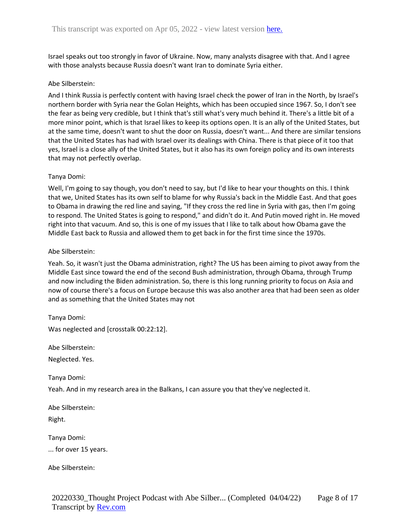Israel speaks out too strongly in favor of Ukraine. Now, many analysts disagree with that. And I agree with those analysts because Russia doesn't want Iran to dominate Syria either.

### Abe Silberstein:

And I think Russia is perfectly content with having Israel check the power of Iran in the North, by Israel's northern border with Syria near the Golan Heights, which has been occupied since 1967. So, I don't see the fear as being very credible, but I think that's still what's very much behind it. There's a little bit of a more minor point, which is that Israel likes to keep its options open. It is an ally of the United States, but at the same time, doesn't want to shut the door on Russia, doesn't want... And there are similar tensions that the United States has had with Israel over its dealings with China. There is that piece of it too that yes, Israel is a close ally of the United States, but it also has its own foreign policy and its own interests that may not perfectly overlap.

### Tanya Domi:

Well, I'm going to say though, you don't need to say, but I'd like to hear your thoughts on this. I think that we, United States has its own self to blame for why Russia's back in the Middle East. And that goes to Obama in drawing the red line and saying, "If they cross the red line in Syria with gas, then I'm going to respond. The United States is going to respond," and didn't do it. And Putin moved right in. He moved right into that vacuum. And so, this is one of my issues that I like to talk about how Obama gave the Middle East back to Russia and allowed them to get back in for the first time since the 1970s.

### Abe Silberstein:

Yeah. So, it wasn't just the Obama administration, right? The US has been aiming to pivot away from the Middle East since toward the end of the second Bush administration, through Obama, through Trump and now including the Biden administration. So, there is this long running priority to focus on Asia and now of course there's a focus on Europe because this was also another area that had been seen as older and as something that the United States may not

Tanya Domi:

Was neglected and [crosstalk 00:22:12].

Abe Silberstein:

Neglected. Yes.

Tanya Domi:

Yeah. And in my research area in the Balkans, I can assure you that they've neglected it.

Abe Silberstein: Right.

Tanya Domi:

... for over 15 years.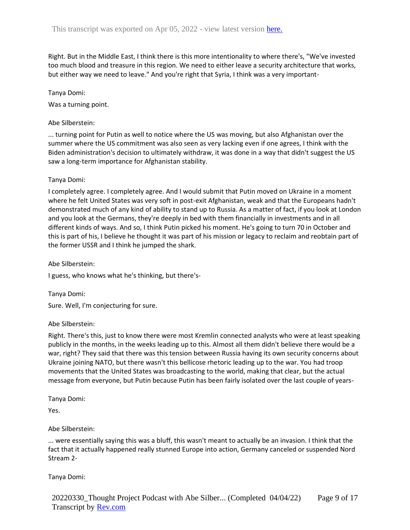Right. But in the Middle East, I think there is this more intentionality to where there's, "We've invested too much blood and treasure in this region. We need to either leave a security architecture that works, but either way we need to leave." And you're right that Syria, I think was a very important-

Tanya Domi:

Was a turning point.

Abe Silberstein:

... turning point for Putin as well to notice where the US was moving, but also Afghanistan over the summer where the US commitment was also seen as very lacking even if one agrees, I think with the Biden administration's decision to ultimately withdraw, it was done in a way that didn't suggest the US saw a long-term importance for Afghanistan stability.

### Tanya Domi:

I completely agree. I completely agree. And I would submit that Putin moved on Ukraine in a moment where he felt United States was very soft in post-exit Afghanistan, weak and that the Europeans hadn't demonstrated much of any kind of ability to stand up to Russia. As a matter of fact, if you look at London and you look at the Germans, they're deeply in bed with them financially in investments and in all different kinds of ways. And so, I think Putin picked his moment. He's going to turn 70 in October and this is part of his, I believe he thought it was part of his mission or legacy to reclaim and reobtain part of the former USSR and I think he jumped the shark.

Abe Silberstein:

I guess, who knows what he's thinking, but there's-

Tanya Domi: Sure. Well, I'm conjecturing for sure.

## Abe Silberstein:

Right. There's this, just to know there were most Kremlin connected analysts who were at least speaking publicly in the months, in the weeks leading up to this. Almost all them didn't believe there would be a war, right? They said that there was this tension between Russia having its own security concerns about Ukraine joining NATO, but there wasn't this bellicose rhetoric leading up to the war. You had troop movements that the United States was broadcasting to the world, making that clear, but the actual message from everyone, but Putin because Putin has been fairly isolated over the last couple of years-

Tanya Domi:

Yes.

## Abe Silberstein:

... were essentially saying this was a bluff, this wasn't meant to actually be an invasion. I think that the fact that it actually happened really stunned Europe into action, Germany canceled or suspended Nord Stream 2-

Tanya Domi: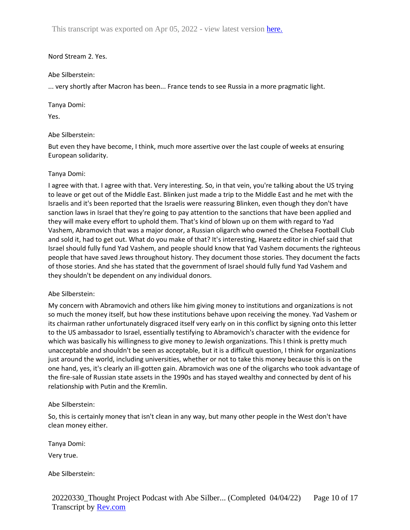This transcript was exported on Apr 05, 2022 - view latest version [here.](https://www.rev.com/transcript-editor/shared/hRUKG5kW2kEnRY9eNYN-frerwTGaUi-GWlzbWyQqXbs1OC3bsMpYtbT0IrXlFhkUuW2xTGVoHtp8ATAXdE3GCxAPoYI?loadFrom=DocumentHeaderDeepLink)

#### Nord Stream 2. Yes.

### Abe Silberstein:

... very shortly after Macron has been... France tends to see Russia in a more pragmatic light.

### Tanya Domi:

Yes.

## Abe Silberstein:

But even they have become, I think, much more assertive over the last couple of weeks at ensuring European solidarity.

### Tanya Domi:

I agree with that. I agree with that. Very interesting. So, in that vein, you're talking about the US trying to leave or get out of the Middle East. Blinken just made a trip to the Middle East and he met with the Israelis and it's been reported that the Israelis were reassuring Blinken, even though they don't have sanction laws in Israel that they're going to pay attention to the sanctions that have been applied and they will make every effort to uphold them. That's kind of blown up on them with regard to Yad Vashem, Abramovich that was a major donor, a Russian oligarch who owned the Chelsea Football Club and sold it, had to get out. What do you make of that? It's interesting, Haaretz editor in chief said that Israel should fully fund Yad Vashem, and people should know that Yad Vashem documents the righteous people that have saved Jews throughout history. They document those stories. They document the facts of those stories. And she has stated that the government of Israel should fully fund Yad Vashem and they shouldn't be dependent on any individual donors.

#### Abe Silberstein:

My concern with Abramovich and others like him giving money to institutions and organizations is not so much the money itself, but how these institutions behave upon receiving the money. Yad Vashem or its chairman rather unfortunately disgraced itself very early on in this conflict by signing onto this letter to the US ambassador to Israel, essentially testifying to Abramovich's character with the evidence for which was basically his willingness to give money to Jewish organizations. This I think is pretty much unacceptable and shouldn't be seen as acceptable, but it is a difficult question, I think for organizations just around the world, including universities, whether or not to take this money because this is on the one hand, yes, it's clearly an ill-gotten gain. Abramovich was one of the oligarchs who took advantage of the fire-sale of Russian state assets in the 1990s and has stayed wealthy and connected by dent of his relationship with Putin and the Kremlin.

## Abe Silberstein:

So, this is certainly money that isn't clean in any way, but many other people in the West don't have clean money either.

Tanya Domi:

Very true.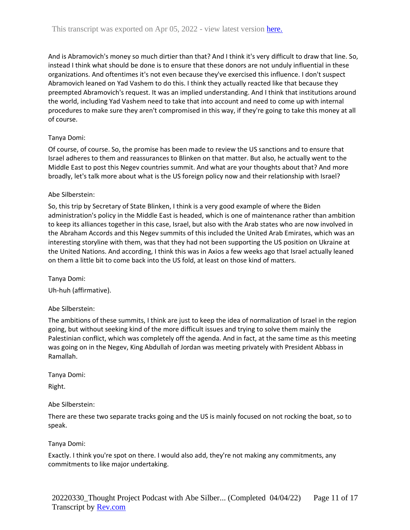And is Abramovich's money so much dirtier than that? And I think it's very difficult to draw that line. So, instead I think what should be done is to ensure that these donors are not unduly influential in these organizations. And oftentimes it's not even because they've exercised this influence. I don't suspect Abramovich leaned on Yad Vashem to do this. I think they actually reacted like that because they preempted Abramovich's request. It was an implied understanding. And I think that institutions around the world, including Yad Vashem need to take that into account and need to come up with internal procedures to make sure they aren't compromised in this way, if they're going to take this money at all of course.

## Tanya Domi:

Of course, of course. So, the promise has been made to review the US sanctions and to ensure that Israel adheres to them and reassurances to Blinken on that matter. But also, he actually went to the Middle East to post this Negev countries summit. And what are your thoughts about that? And more broadly, let's talk more about what is the US foreign policy now and their relationship with Israel?

# Abe Silberstein:

So, this trip by Secretary of State Blinken, I think is a very good example of where the Biden administration's policy in the Middle East is headed, which is one of maintenance rather than ambition to keep its alliances together in this case, Israel, but also with the Arab states who are now involved in the Abraham Accords and this Negev summits of this included the United Arab Emirates, which was an interesting storyline with them, was that they had not been supporting the US position on Ukraine at the United Nations. And according, I think this was in Axios a few weeks ago that Israel actually leaned on them a little bit to come back into the US fold, at least on those kind of matters.

Tanya Domi:

Uh-huh (affirmative).

## Abe Silberstein:

The ambitions of these summits, I think are just to keep the idea of normalization of Israel in the region going, but without seeking kind of the more difficult issues and trying to solve them mainly the Palestinian conflict, which was completely off the agenda. And in fact, at the same time as this meeting was going on in the Negev, King Abdullah of Jordan was meeting privately with President Abbass in Ramallah.

Tanya Domi:

Right.

Abe Silberstein:

There are these two separate tracks going and the US is mainly focused on not rocking the boat, so to speak.

## Tanya Domi:

Exactly. I think you're spot on there. I would also add, they're not making any commitments, any commitments to like major undertaking.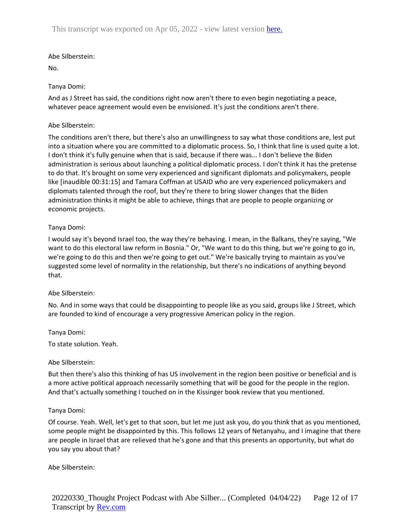### Abe Silberstein:

No.

### Tanya Domi:

And as J Street has said, the conditions right now aren't there to even begin negotiating a peace, whatever peace agreement would even be envisioned. It's just the conditions aren't there.

### Abe Silberstein:

The conditions aren't there, but there's also an unwillingness to say what those conditions are, lest put into a situation where you are committed to a diplomatic process. So, I think that line is used quite a lot. I don't think it's fully genuine when that is said, because if there was... I don't believe the Biden administration is serious about launching a political diplomatic process. I don't think it has the pretense to do that. It's brought on some very experienced and significant diplomats and policymakers, people like [inaudible 00:31:15] and Tamara Coffman at USAID who are very experienced policymakers and diplomats talented through the roof, but they're there to bring slower changes that the Biden administration thinks it might be able to achieve, things that are people to people organizing or economic projects.

### Tanya Domi:

I would say it's beyond Israel too, the way they're behaving. I mean, in the Balkans, they're saying, "We want to do this electoral law reform in Bosnia." Or, "We want to do this thing, but we're going to go in, we're going to do this and then we're going to get out." We're basically trying to maintain as you've suggested some level of normality in the relationship, but there's no indications of anything beyond that.

#### Abe Silberstein:

No. And in some ways that could be disappointing to people like as you said, groups like J Street, which are founded to kind of encourage a very progressive American policy in the region.

#### Tanya Domi:

To state solution. Yeah.

#### Abe Silberstein:

But then there's also this thinking of has US involvement in the region been positive or beneficial and is a more active political approach necessarily something that will be good for the people in the region. And that's actually something I touched on in the Kissinger book review that you mentioned.

#### Tanya Domi:

Of course. Yeah. Well, let's get to that soon, but let me just ask you, do you think that as you mentioned, some people might be disappointed by this. This follows 12 years of Netanyahu, and I imagine that there are people in Israel that are relieved that he's gone and that this presents an opportunity, but what do you say you about that?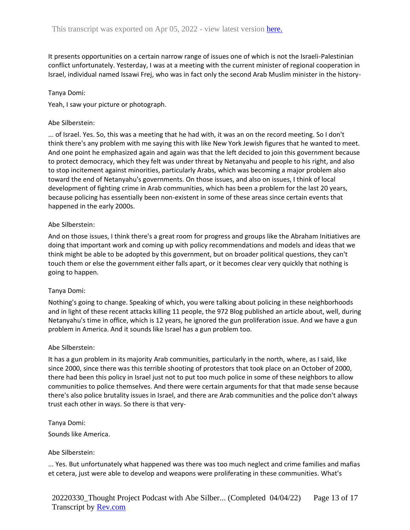It presents opportunities on a certain narrow range of issues one of which is not the Israeli-Palestinian conflict unfortunately. Yesterday, I was at a meeting with the current minister of regional cooperation in Israel, individual named Issawi Frej, who was in fact only the second Arab Muslim minister in the history-

#### Tanya Domi:

Yeah, I saw your picture or photograph.

### Abe Silberstein:

... of Israel. Yes. So, this was a meeting that he had with, it was an on the record meeting. So I don't think there's any problem with me saying this with like New York Jewish figures that he wanted to meet. And one point he emphasized again and again was that the left decided to join this government because to protect democracy, which they felt was under threat by Netanyahu and people to his right, and also to stop incitement against minorities, particularly Arabs, which was becoming a major problem also toward the end of Netanyahu's governments. On those issues, and also on issues, I think of local development of fighting crime in Arab communities, which has been a problem for the last 20 years, because policing has essentially been non-existent in some of these areas since certain events that happened in the early 2000s.

### Abe Silberstein:

And on those issues, I think there's a great room for progress and groups like the Abraham Initiatives are doing that important work and coming up with policy recommendations and models and ideas that we think might be able to be adopted by this government, but on broader political questions, they can't touch them or else the government either falls apart, or it becomes clear very quickly that nothing is going to happen.

#### Tanya Domi:

Nothing's going to change. Speaking of which, you were talking about policing in these neighborhoods and in light of these recent attacks killing 11 people, the 972 Blog published an article about, well, during Netanyahu's time in office, which is 12 years, he ignored the gun proliferation issue. And we have a gun problem in America. And it sounds like Israel has a gun problem too.

#### Abe Silberstein:

It has a gun problem in its majority Arab communities, particularly in the north, where, as I said, like since 2000, since there was this terrible shooting of protestors that took place on an October of 2000, there had been this policy in Israel just not to put too much police in some of these neighbors to allow communities to police themselves. And there were certain arguments for that that made sense because there's also police brutality issues in Israel, and there are Arab communities and the police don't always trust each other in ways. So there is that very-

#### Tanya Domi:

Sounds like America.

#### Abe Silberstein:

... Yes. But unfortunately what happened was there was too much neglect and crime families and mafias et cetera, just were able to develop and weapons were proliferating in these communities. What's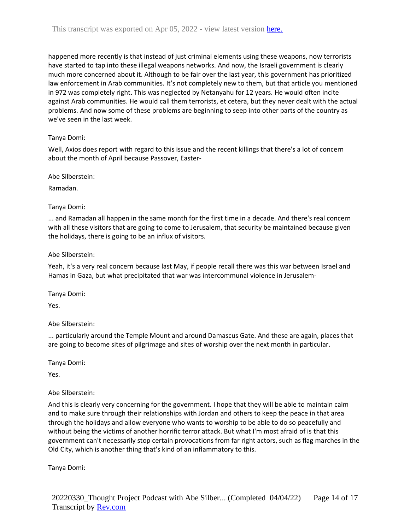happened more recently is that instead of just criminal elements using these weapons, now terrorists have started to tap into these illegal weapons networks. And now, the Israeli government is clearly much more concerned about it. Although to be fair over the last year, this government has prioritized law enforcement in Arab communities. It's not completely new to them, but that article you mentioned in 972 was completely right. This was neglected by Netanyahu for 12 years. He would often incite against Arab communities. He would call them terrorists, et cetera, but they never dealt with the actual problems. And now some of these problems are beginning to seep into other parts of the country as we've seen in the last week.

## Tanya Domi:

Well, Axios does report with regard to this issue and the recent killings that there's a lot of concern about the month of April because Passover, Easter-

Abe Silberstein:

Ramadan.

Tanya Domi:

... and Ramadan all happen in the same month for the first time in a decade. And there's real concern with all these visitors that are going to come to Jerusalem, that security be maintained because given the holidays, there is going to be an influx of visitors.

## Abe Silberstein:

Yeah, it's a very real concern because last May, if people recall there was this war between Israel and Hamas in Gaza, but what precipitated that war was intercommunal violence in Jerusalem-

Tanya Domi:

Yes.

## Abe Silberstein:

... particularly around the Temple Mount and around Damascus Gate. And these are again, places that are going to become sites of pilgrimage and sites of worship over the next month in particular.

Tanya Domi:

Yes.

## Abe Silberstein:

And this is clearly very concerning for the government. I hope that they will be able to maintain calm and to make sure through their relationships with Jordan and others to keep the peace in that area through the holidays and allow everyone who wants to worship to be able to do so peacefully and without being the victims of another horrific terror attack. But what I'm most afraid of is that this government can't necessarily stop certain provocations from far right actors, such as flag marches in the Old City, which is another thing that's kind of an inflammatory to this.

Tanya Domi: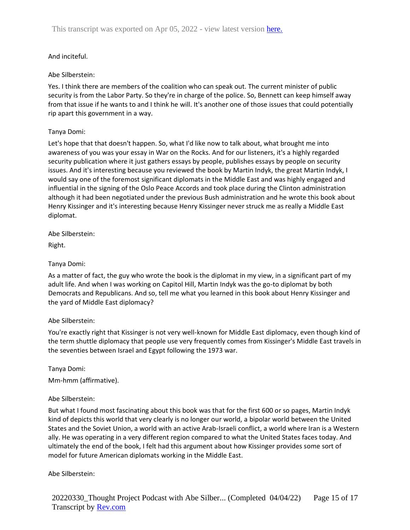## And inciteful.

## Abe Silberstein:

Yes. I think there are members of the coalition who can speak out. The current minister of public security is from the Labor Party. So they're in charge of the police. So, Bennett can keep himself away from that issue if he wants to and I think he will. It's another one of those issues that could potentially rip apart this government in a way.

### Tanya Domi:

Let's hope that that doesn't happen. So, what I'd like now to talk about, what brought me into awareness of you was your essay in War on the Rocks. And for our listeners, it's a highly regarded security publication where it just gathers essays by people, publishes essays by people on security issues. And it's interesting because you reviewed the book by Martin Indyk, the great Martin Indyk, I would say one of the foremost significant diplomats in the Middle East and was highly engaged and influential in the signing of the Oslo Peace Accords and took place during the Clinton administration although it had been negotiated under the previous Bush administration and he wrote this book about Henry Kissinger and it's interesting because Henry Kissinger never struck me as really a Middle East diplomat.

Abe Silberstein:

Right.

### Tanya Domi:

As a matter of fact, the guy who wrote the book is the diplomat in my view, in a significant part of my adult life. And when I was working on Capitol Hill, Martin Indyk was the go-to diplomat by both Democrats and Republicans. And so, tell me what you learned in this book about Henry Kissinger and the yard of Middle East diplomacy?

#### Abe Silberstein:

You're exactly right that Kissinger is not very well-known for Middle East diplomacy, even though kind of the term shuttle diplomacy that people use very frequently comes from Kissinger's Middle East travels in the seventies between Israel and Egypt following the 1973 war.

Tanya Domi:

Mm-hmm (affirmative).

## Abe Silberstein:

But what I found most fascinating about this book was that for the first 600 or so pages, Martin Indyk kind of depicts this world that very clearly is no longer our world, a bipolar world between the United States and the Soviet Union, a world with an active Arab-Israeli conflict, a world where Iran is a Western ally. He was operating in a very different region compared to what the United States faces today. And ultimately the end of the book, I felt had this argument about how Kissinger provides some sort of model for future American diplomats working in the Middle East.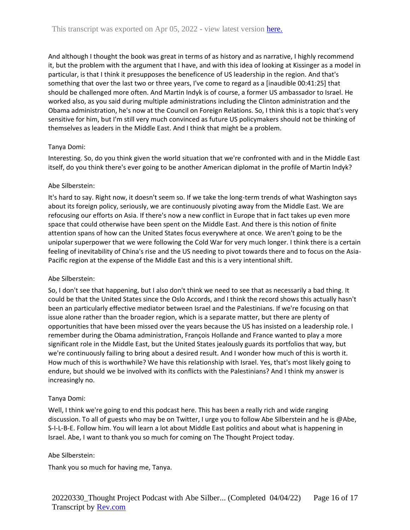And although I thought the book was great in terms of as history and as narrative, I highly recommend it, but the problem with the argument that I have, and with this idea of looking at Kissinger as a model in particular, is that I think it presupposes the beneficence of US leadership in the region. And that's something that over the last two or three years, I've come to regard as a [inaudible 00:41:25] that should be challenged more often. And Martin Indyk is of course, a former US ambassador to Israel. He worked also, as you said during multiple administrations including the Clinton administration and the Obama administration, he's now at the Council on Foreign Relations. So, I think this is a topic that's very sensitive for him, but I'm still very much convinced as future US policymakers should not be thinking of themselves as leaders in the Middle East. And I think that might be a problem.

### Tanya Domi:

Interesting. So, do you think given the world situation that we're confronted with and in the Middle East itself, do you think there's ever going to be another American diplomat in the profile of Martin Indyk?

### Abe Silberstein:

It's hard to say. Right now, it doesn't seem so. If we take the long-term trends of what Washington says about its foreign policy, seriously, we are continuously pivoting away from the Middle East. We are refocusing our efforts on Asia. If there's now a new conflict in Europe that in fact takes up even more space that could otherwise have been spent on the Middle East. And there is this notion of finite attention spans of how can the United States focus everywhere at once. We aren't going to be the unipolar superpower that we were following the Cold War for very much longer. I think there is a certain feeling of inevitability of China's rise and the US needing to pivot towards there and to focus on the Asia-Pacific region at the expense of the Middle East and this is a very intentional shift.

#### Abe Silberstein:

So, I don't see that happening, but I also don't think we need to see that as necessarily a bad thing. It could be that the United States since the Oslo Accords, and I think the record shows this actually hasn't been an particularly effective mediator between Israel and the Palestinians. If we're focusing on that issue alone rather than the broader region, which is a separate matter, but there are plenty of opportunities that have been missed over the years because the US has insisted on a leadership role. I remember during the Obama administration, François Hollande and France wanted to play a more significant role in the Middle East, but the United States jealously guards its portfolios that way, but we're continuously failing to bring about a desired result. And I wonder how much of this is worth it. How much of this is worthwhile? We have this relationship with Israel. Yes, that's most likely going to endure, but should we be involved with its conflicts with the Palestinians? And I think my answer is increasingly no.

## Tanya Domi:

Well, I think we're going to end this podcast here. This has been a really rich and wide ranging discussion. To all of guests who may be on Twitter, I urge you to follow Abe Silberstein and he is @Abe, S-I-L-B-E. Follow him. You will learn a lot about Middle East politics and about what is happening in Israel. Abe, I want to thank you so much for coming on The Thought Project today.

#### Abe Silberstein:

Thank you so much for having me, Tanya.